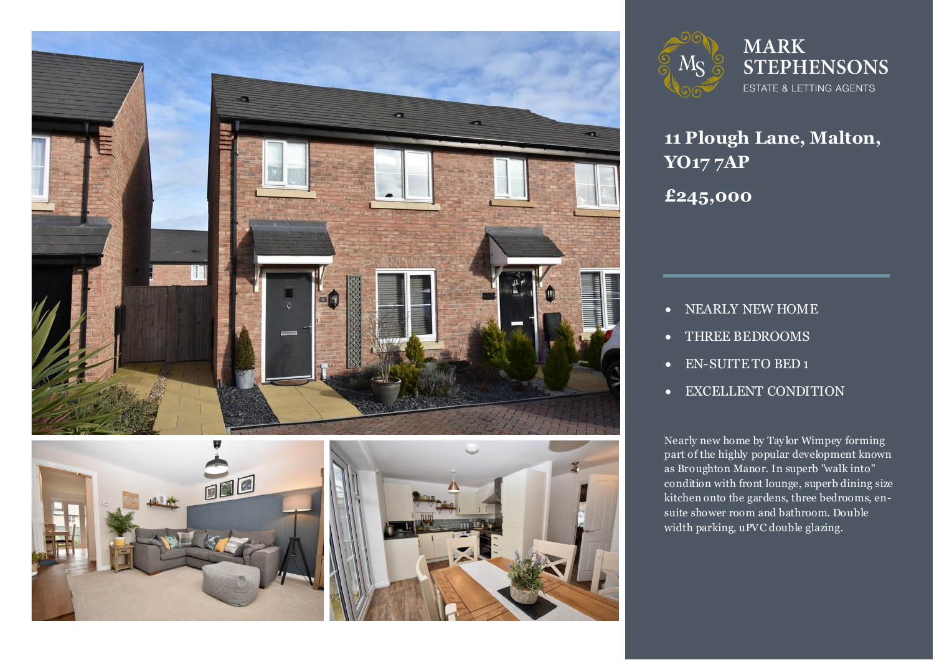





### **MARK STEPHENSONS** ESTATE & LETTING AGENTS

# **11 Plough Lane, Malton, YO17 7AP £245,000**

- NEARLY NEW HOME
- THREE BEDROOMS
- EN-SUITE TO BED 1
- EXCELLENT CONDITION

**3** Nearly new home by Taylor Wimpey forming<br>part of the highly popular development known as Broughton Manor. In superb "walk into"<br>condition with front lounge, superb dining : Nearly new home by Tay lor Wimpey forming condition with front lounge, superb dining size kitchen onto the gardens, three bedrooms, ensuite shower room and bathroom. Double width parking, uPVC double glazing.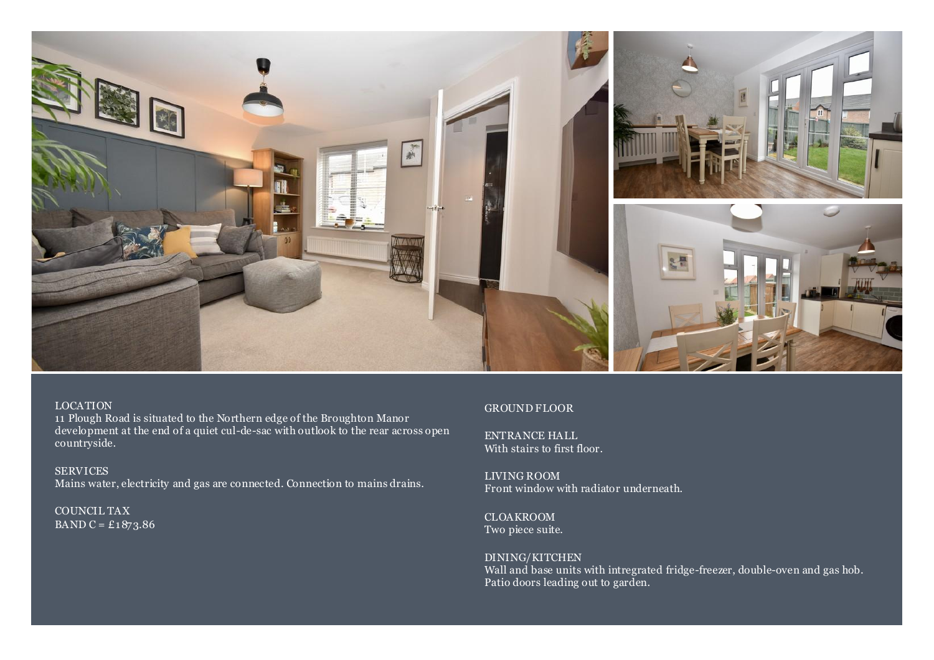

#### LOCATION

11 Plough Road is situated to the Northern edge of the Broughton Manor development at the end of a quiet cul-de-sac with outlook to the rear across open countryside.

SERVICES Mains water, electricity and gas are connected. Connection to mains drains.

COUNCIL TAX BAND C =  $£1873.86$ 

#### GROUND FLOOR

ENTRANCE HALL With stairs to first floor.

LIVING ROOM Front window with radiator underneath.

CLOAKROOM Two piece suite.

DINING/KITCHEN Wall and base units with intregrated fridge-freezer, double-oven and gas hob. Patio doors leading out to garden.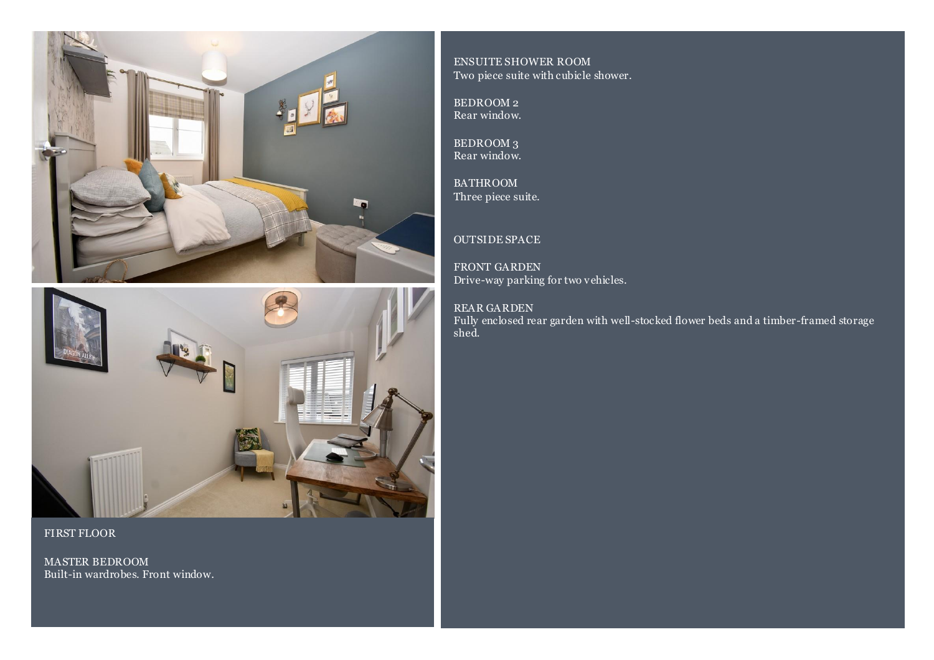



FIRST FLOOR

MASTER BEDROOM Built-in wardrobes. Front window.

ENSUITE SHOWER ROOM Two piece suite with cubicle shower.

BEDROOM 2 Rear window.

BEDROOM 3 Rear window.

BATHROOM Three piece suite.

#### OUTSIDE SPACE

FRONT GARDEN Drive-way parking for two vehicles.

### REAR GARDEN

Fully enclosed rear garden with well-stocked flower beds and a timber-framed storage shed.